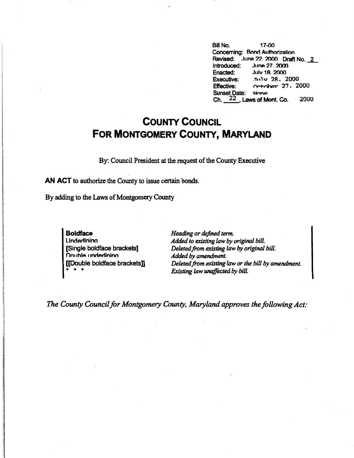Bill No. 17-00 Concerning: Bond Authorization Revised: June 22\_ 2000 Draft No. *L*  Introduced: June 27, 2000<br>Enacted: July 18, 2000 July 18, 2000 **Executive:** .Tn1v 28. 2000 Effective:  $\sim$   $\sim$  + $\sim$   $\sim$  27. 2000 Sunset Date: None Ch.~. Laws of Mont. Co. 2000

## **COUNTY COUNCIL FOR MONTGOMERY COUNTY, MARYLAND**

By: Council President at the request of the County Executive

**AN ACT** to authorize the County to issue certain bonds.

By adding to the Laws of Montgomery County

**Boldface**  Underlinina [Single boldface brackets] **Double underlining** [[Double boldface brackets]] • • •

*Heading or defined term. Added to existing law by original bill. Deleted.from existing law by original bill. Added by amendment. Deleted from existing law or the bill by amendment. Existing law unaffected by bill.* 

*The County Council for Montgomery County. Maryland approves the following Act:*